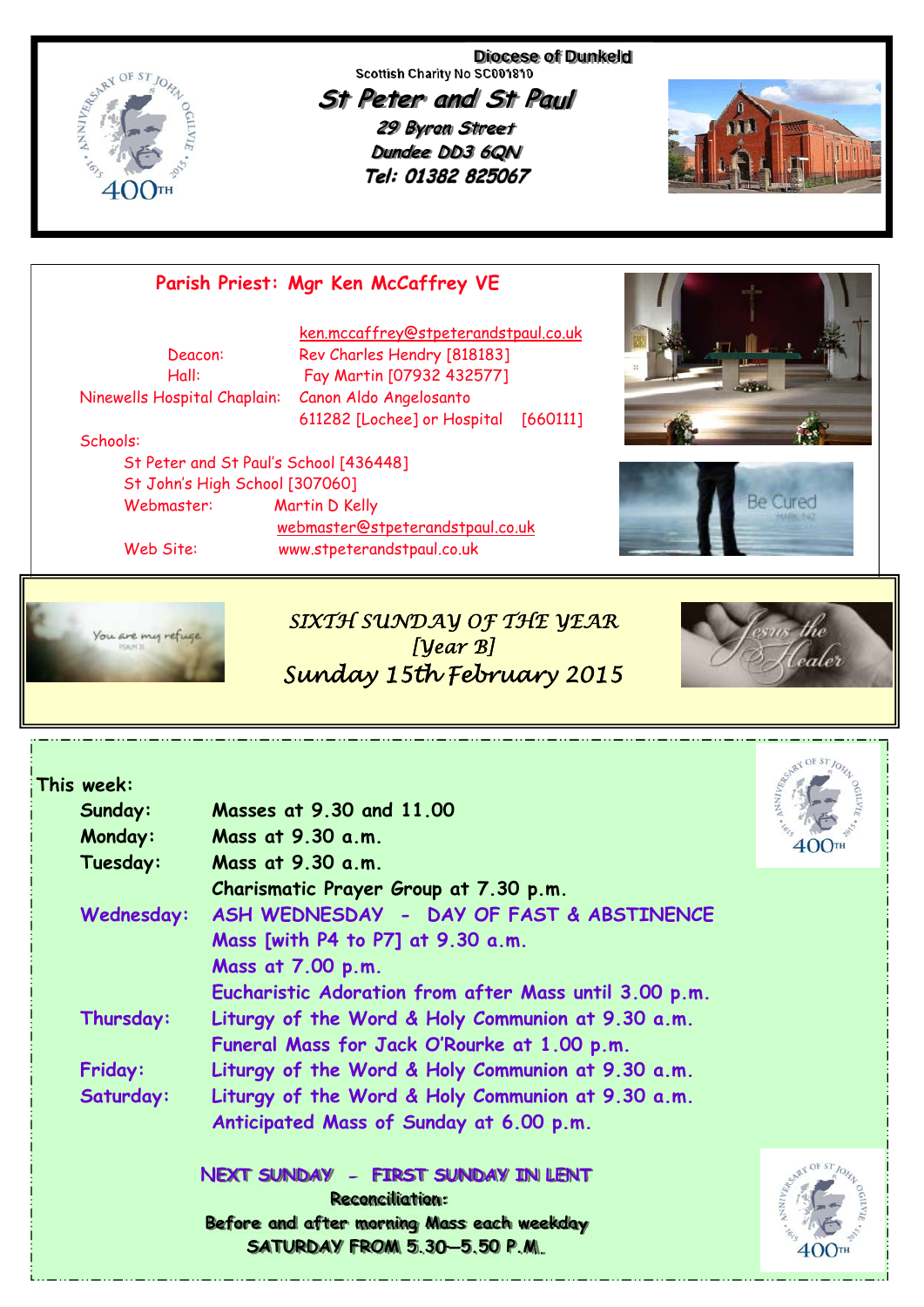

**Diocese of Dunkeld Scottish Charity No SC001810** 

**St Peter and St Paul 29 Byron Street Dundee DD3 6QN** Tel: 01382 825067



## **Parish Priest: Mgr Ken McCaffrey VE**

Ninewells Hospital Chaplain: Canon Aldo Angelosanto

 ken.mccaffrey@stpeterandstpaul.co.uk Deacon: Rev Charles Hendry [818183] Hall: Fay Martin [07932 432577] 611282 [Lochee] or Hospital [660111]

#### Schools:

 St Peter and St Paul's School [436448] St John's High School [307060] Webmaster: Martin D Kelly webmaster@stpeterandstpaul.co.uk

Web Site: www.stpeterandstpaul.co.uk







*SIXTH SUNDAY OF THE YEAR [Year B] Sunday 15th February 2015* 



## **This week: Sunday: Masses at 9.30 and 11.00 Monday: Mass at 9.30 a.m. Tuesday: Mass at 9.30 a.m. Charismatic Prayer Group at 7.30 p.m. Wednesday: ASH WEDNESDAY - DAY OF FAST & ABSTINENCE Mass [with P4 to P7] at 9.30 a.m. Mass at 7.00 p.m. Eucharistic Adoration from after Mass until 3.00 p.m. Thursday: Liturgy of the Word & Holy Communion at 9.30 a.m. Funeral Mass for Jack O'Rourke at 1.00 p.m. Friday: Liturgy of the Word & Holy Communion at 9.30 a.m. Saturday: Liturgy of the Word & Holy Communion at 9.30 a.m. Anticipated Mass of Sunday at 6.00 p.m. NEXT SUNDAY - FIRST SUNDAY IN LENT Reconciliation: Before and after morning Mass each weekday**

**SATURDAY FROM 5.30—5.50 P.M.**



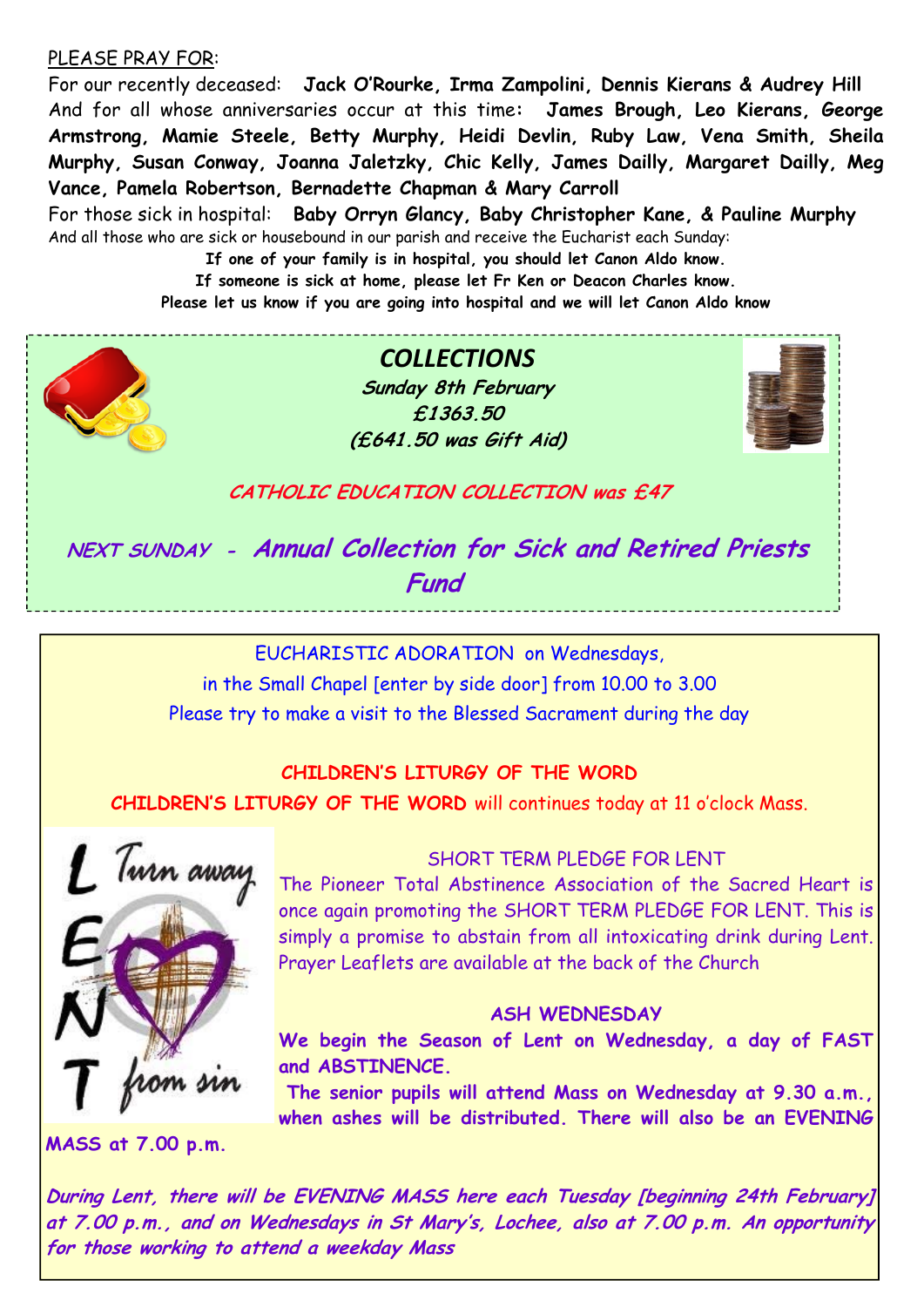#### PLEASE PRAY FOR:

For our recently deceased: **Jack O'Rourke, Irma Zampolini, Dennis Kierans & Audrey Hill**  And for all whose anniversaries occur at this time**: James Brough, Leo Kierans, George Armstrong, Mamie Steele, Betty Murphy, Heidi Devlin, Ruby Law, Vena Smith, Sheila Murphy, Susan Conway, Joanna Jaletzky, Chic Kelly, James Dailly, Margaret Dailly, Meg Vance, Pamela Robertson, Bernadette Chapman & Mary Carroll** 

For those sick in hospital: **Baby Orryn Glancy, Baby Christopher Kane, & Pauline Murphy**  And all those who are sick or housebound in our parish and receive the Eucharist each Sunday:

> **If one of your family is in hospital, you should let Canon Aldo know. If someone is sick at home, please let Fr Ken or Deacon Charles know. Please let us know if you are going into hospital and we will let Canon Aldo know**



**Fund**

### EUCHARISTIC ADORATION on Wednesdays,

in the Small Chapel [enter by side door] from 10.00 to 3.00 Please try to make a visit to the Blessed Sacrament during the day

#### **CHILDREN'S LITURGY OF THE WORD**

**CHILDREN'S LITURGY OF THE WORD** will continues today at 11 o'clock Mass.



#### SHORT TERM PLEDGE FOR LENT

The Pioneer Total Abstinence Association of the Sacred Heart is once again promoting the SHORT TERM PLEDGE FOR LENT. This is simply a promise to abstain from all intoxicating drink during Lent. Prayer Leaflets are available at the back of the Church

#### **ASH WEDNESDAY**

**We begin the Season of Lent on Wednesday, a day of FAST and ABSTINENCE.** 

 **The senior pupils will attend Mass on Wednesday at 9.30 a.m., when ashes will be distributed. There will also be an EVENING** 

**MASS at 7.00 p.m.** 

**During Lent, there will be EVENING MASS here each Tuesday [beginning 24th February] at 7.00 p.m., and on Wednesdays in St Mary's, Lochee, also at 7.00 p.m. An opportunity for those working to attend a weekday Mass**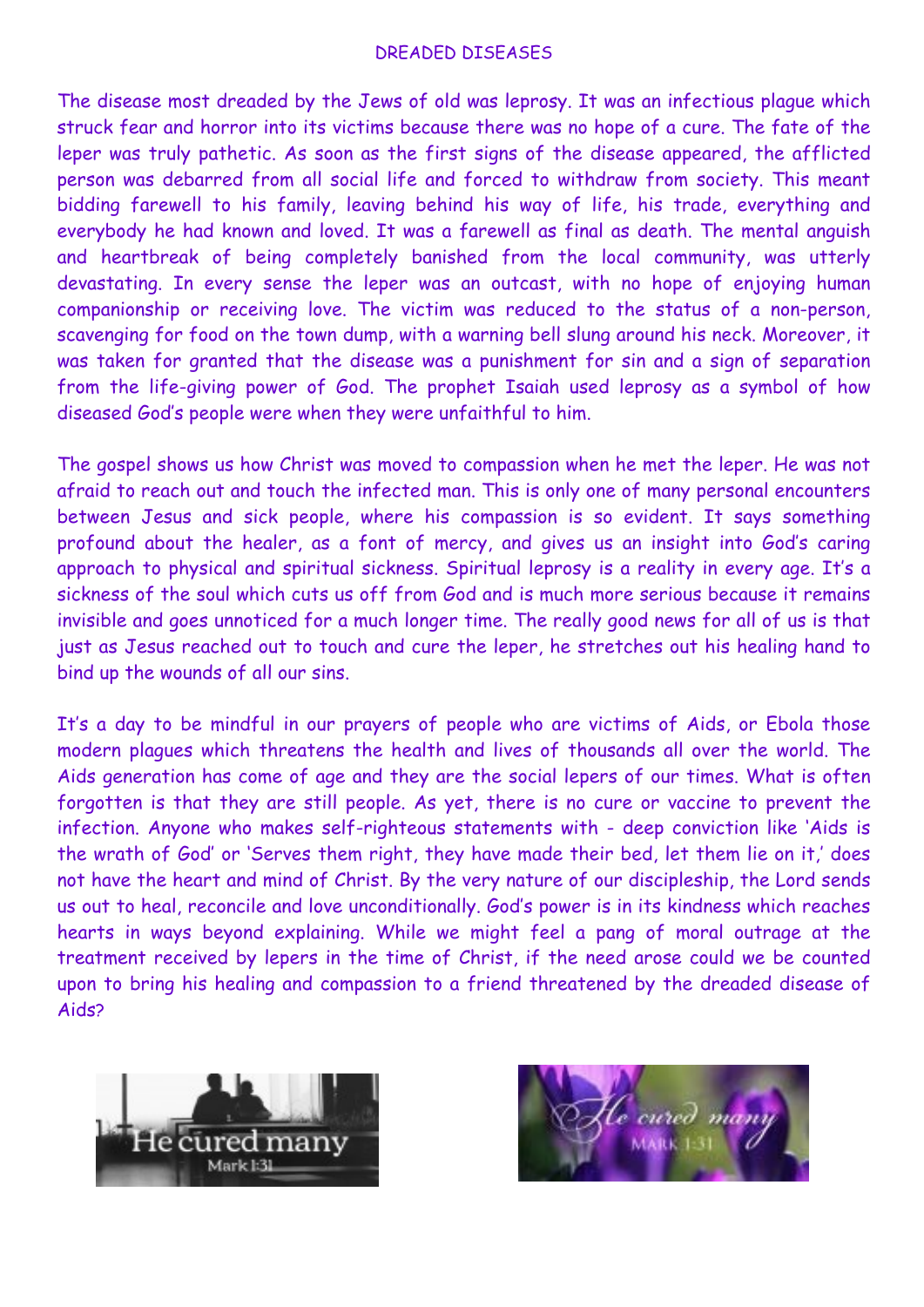#### DREADED DISEASES

The disease most dreaded by the Jews of old was leprosy. It was an infectious plague which struck fear and horror into its victims because there was no hope of a cure. The fate of the leper was truly pathetic. As soon as the first signs of the disease appeared, the afflicted person was debarred from all social life and forced to withdraw from society. This meant bidding farewell to his family, leaving behind his way of life, his trade, everything and everybody he had known and loved. It was a farewell as final as death. The mental anguish and heartbreak of being completely banished from the local community, was utterly devastating. In every sense the leper was an outcast, with no hope of enjoying human companionship or receiving love. The victim was reduced to the status of a non-person, scavenging for food on the town dump, with a warning bell slung around his neck. Moreover, it was taken for granted that the disease was a punishment for sin and a sign of separation from the life-giving power of God. The prophet Isaiah used leprosy as a symbol of how diseased God's people were when they were unfaithful to him.

The gospel shows us how Christ was moved to compassion when he met the leper. He was not afraid to reach out and touch the infected man. This is only one of many personal encounters between Jesus and sick people, where his compassion is so evident. It says something profound about the healer, as a font of mercy, and gives us an insight into God's caring approach to physical and spiritual sickness. Spiritual leprosy is a reality in every age. It's a sickness of the soul which cuts us off from God and is much more serious because it remains invisible and goes unnoticed for a much longer time. The really good news for all of us is that just as Jesus reached out to touch and cure the leper, he stretches out his healing hand to bind up the wounds of all our sins.

It's a day to be mindful in our prayers of people who are victims of Aids, or Ebola those modern plagues which threatens the health and lives of thousands all over the world. The Aids generation has come of age and they are the social lepers of our times. What is often forgotten is that they are still people. As yet, there is no cure or vaccine to prevent the infection. Anyone who makes self-righteous statements with - deep conviction like 'Aids is the wrath of God' or 'Serves them right, they have made their bed, let them lie on it,' does not have the heart and mind of Christ. By the very nature of our discipleship, the Lord sends us out to heal, reconcile and love unconditionally. God's power is in its kindness which reaches hearts in ways beyond explaining. While we might feel a pang of moral outrage at the treatment received by lepers in the time of Christ, if the need arose could we be counted upon to bring his healing and compassion to a friend threatened by the dreaded disease of Aids?